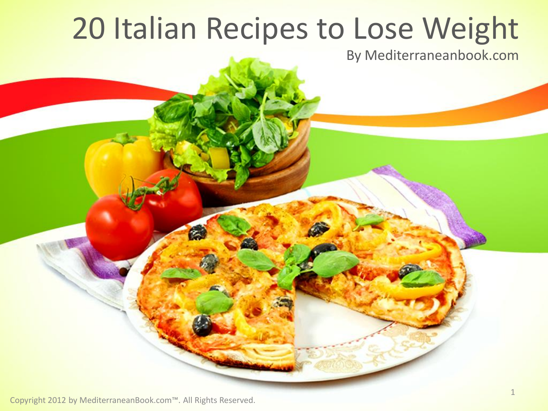# 20 Italian Recipes to Lose Weight

By Mediterraneanbook.com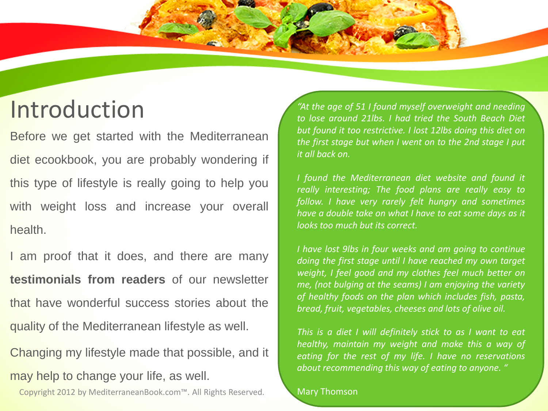### Introduction

Before we get started with the Mediterranean diet ecookbook, you are probably wondering if this type of lifestyle is really going to help you with weight loss and increase your overall health.

I am proof that it does, and there are many **testimonials from readers** of our newsletter that have wonderful success stories about the quality of the Mediterranean lifestyle as well.

Changing my lifestyle made that possible, and it may help to change your life, as well.

Copyright 2012 by MediterraneanBook.com™. All Rights Reserved. 2

*"At the age of 51 I found myself overweight and needing to lose around 21lbs. I had tried the South Beach Diet but found it too restrictive. I lost 12lbs doing this diet on the first stage but when I went on to the 2nd stage I put it all back on.*

*I found the Mediterranean diet website and found it really interesting; The food plans are really easy to follow. I have very rarely felt hungry and sometimes have a double take on what I have to eat some days as it looks too much but its correct.*

*I have lost 9lbs in four weeks and am going to continue doing the first stage until I have reached my own target weight, I feel good and my clothes feel much better on me, (not bulging at the seams) I am enjoying the variety of healthy foods on the plan which includes fish, pasta, bread, fruit, vegetables, cheeses and lots of olive oil.*

*This is a diet I will definitely stick to as I want to eat healthy, maintain my weight and make this a way of eating for the rest of my life. I have no reservations about recommending this way of eating to anyone. "*

#### Mary Thomson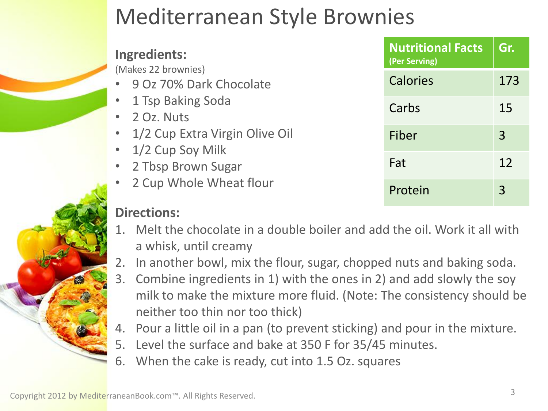### Mediterranean Style Brownies

#### **Ingredients:**

(Makes 22 brownies)

- 9 Oz 70% Dark Chocolate
- 1 Tsp Baking Soda
- 2 Oz. Nuts
- 1/2 Cup Extra Virgin Olive Oil
- 1/2 Cup Soy Milk
- 2 Tbsp Brown Sugar
- 2 Cup Whole Wheat flour

#### **Directions:**

- 1. Melt the chocolate in a double boiler and add the oil. Work it all with a whisk, until creamy
- 2. In another bowl, mix the flour, sugar, chopped nuts and baking soda.
- 3. Combine ingredients in 1) with the ones in 2) and add slowly the soy istency should be
- 4. Pour a little oil in a pan (to prevent sticking) and pour in the mixture.
- 5. Level the surface and bake at 350 F for 35/45 minutes.
- 6. When the cake is ready, cut into 1.5 Oz. squares

| milk to make the mixture more fluid. (Note: The consi     |
|-----------------------------------------------------------|
| neither too thin nor too thick)                           |
| Pour a little oil in a pan (to prevent sticking) and pour |
| Level the surface and bake at 350 F for 35/45 minutes     |
| When the cake is ready cut into 1 5 Oz squares            |

**Nutritional Facts** 

Calories 173

Carbs 15

Fiber 3

Fat 12

Protein 3

**Gr.**

**(Per Serving)**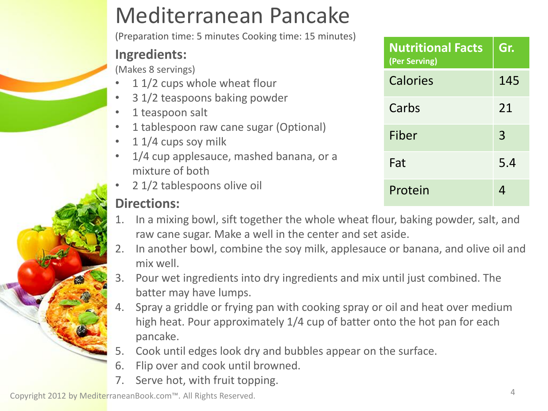### Mediterranean Pancake

(Preparation time: 5 minutes Cooking time: 15 minutes)

#### **Ingredients:**

(Makes 8 servings)

- 1 1/2 cups whole wheat flour
- 3 1/2 teaspoons baking powder
- 1 teaspoon salt
- 1 tablespoon raw cane sugar (Optional)
- 1 1/4 cups soy milk
- 1/4 cup applesauce, mashed banana, or a mixture of both
- 2 1/2 tablespoons olive oil

#### **Directions:**

- 1. In a mixing bowl, sift together the whole wheat flour, baking powder, salt, and raw cane sugar. Make a well in the center and set aside.
- 2. In another bowl, combine the soy milk, applesauce or banana, and olive oil and mix well.
- 3. Pour wet ingredients into dry ingredients and mix until just combined. The batter may have lumps.
- 4. Spray a griddle or frying pan with cooking spray or oil and heat over medium high heat. Pour approximately 1/4 cup of batter onto the hot pan for each pancake.
- 5. Cook until edges look dry and bubbles appear on the surface.
- 6. Flip over and cook until browned.
- 7. Serve hot, with fruit topping.

| <b>Nutritional Facts</b><br>(Per Serving) | Gr. |
|-------------------------------------------|-----|
| Calories                                  | 145 |
| Carbs                                     | 21  |
| Fiber                                     | 3   |
| Fat                                       | 5.4 |
| Protein                                   |     |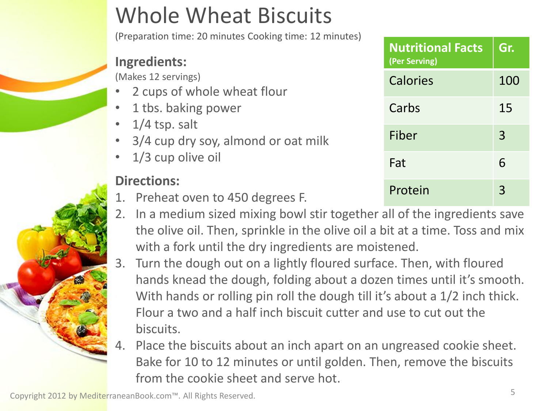## Whole Wheat Biscuits

(Preparation time: 20 minutes Cooking time: 12 minutes)

#### **Ingredients:**

(Makes 12 servings)

- 2 cups of whole wheat flour
- 1 tbs. baking power
- $1/4$  tsp. salt
- 3/4 cup dry soy, almond or oat milk
- 1/3 cup olive oil

#### **Directions:**

- 1. Preheat oven to 450 degrees F.
- 2. In a medium sized mixing bowl stir together all of the ingredients save the olive oil. Then, sprinkle in the olive oil a bit at a time. Toss and mix with a fork until the dry ingredients are moistened.
- 3. Turn the dough out on a lightly floured surface. Then, with floured hands knead the dough, folding about a dozen times until it's smooth. With hands or rolling pin roll the dough till it's about a 1/2 inch thick. Flour a two and a half inch biscuit cutter and use to cut out the biscuits.
- 4. Place the biscuits about an inch apart on an ungreased cookie sheet. Bake for 10 to 12 minutes or until golden. Then, remove the biscuits from the cookie sheet and serve hot.

| <b>Nutritional Facts</b><br>(Per Serving) | Gr. |
|-------------------------------------------|-----|
| Calories                                  | 100 |
| Carbs                                     | 15  |
| Fiber                                     | 3   |
| Fat                                       | 6   |
| Protein                                   |     |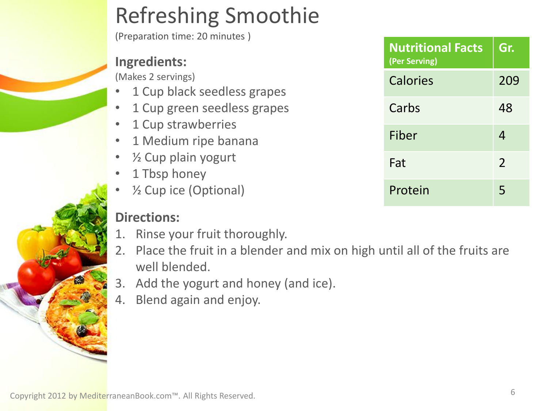### Refreshing Smoothie

(Preparation time: 20 minutes )

#### **Ingredients:**

(Makes 2 servings)

- 1 Cup black seedless grapes
- 1 Cup green seedless grapes
- 1 Cup strawberries
- 1 Medium ripe banana
- $\frac{1}{2}$  Cup plain yogurt
- 1 Tbsp honey
- $\frac{1}{2}$  Cup ice (Optional)

- 1. Rinse your fruit thoroughly.
- 2. Place the fruit in a blender and mix on high until all of the fruits are well blended.
- 3. Add the yogurt and honey (and ice).
- 4. Blend again and enjoy.

| <b>Nutritional Facts</b><br>(Per Serving) | Gr.           |
|-------------------------------------------|---------------|
| Calories                                  | 209           |
| Carbs                                     | 48            |
| Fiber                                     | 4             |
| Fat                                       | $\mathcal{P}$ |
| Protein                                   | 5             |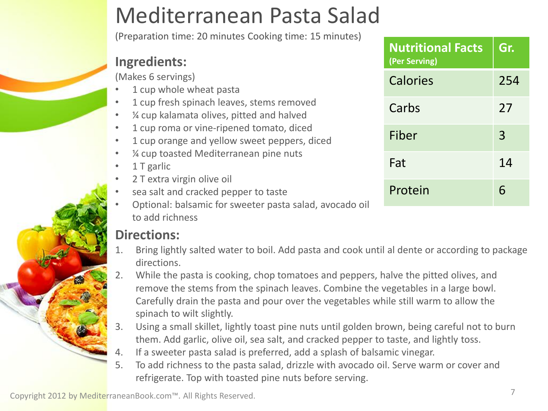### Mediterranean Pasta Salad

(Preparation time: 20 minutes Cooking time: 15 minutes)

#### **Ingredients:**

(Makes 6 servings)

- 1 cup whole wheat pasta
- 1 cup fresh spinach leaves, stems removed
- ¼ cup kalamata olives, pitted and halved
- 1 cup roma or vine-ripened tomato, diced
- 1 cup orange and yellow sweet peppers, diced
- ¼ cup toasted Mediterranean pine nuts
- 1 T garlic
- 2 T extra virgin olive oil
- sea salt and cracked pepper to taste
- Optional: balsamic for sweeter pasta salad, avocado oil to add richness

- 1. Bring lightly salted water to boil. Add pasta and cook until al dente or according to package directions.
- 2. While the pasta is cooking, chop tomatoes and peppers, halve the pitted olives, and remove the stems from the spinach leaves. Combine the vegetables in a large bowl. Carefully drain the pasta and pour over the vegetables while still warm to allow the spinach to wilt slightly.
- 3. Using a small skillet, lightly toast pine nuts until golden brown, being careful not to burn them. Add garlic, olive oil, sea salt, and cracked pepper to taste, and lightly toss.
- 4. If a sweeter pasta salad is preferred, add a splash of balsamic vinegar.
- 5. To add richness to the pasta salad, drizzle with avocado oil. Serve warm or cover and refrigerate. Top with toasted pine nuts before serving.

| Copyright 2012 by MediterraneanBook.com™. All Rights Reserved. |  |
|----------------------------------------------------------------|--|

| <b>Nutritional Facts</b><br>(Per Serving) | Gr. |
|-------------------------------------------|-----|
| <b>Calories</b>                           | 254 |
| Carbs                                     | 27  |
| Fiber                                     | 3   |
| Fat                                       | 14  |
| Protein                                   | 6   |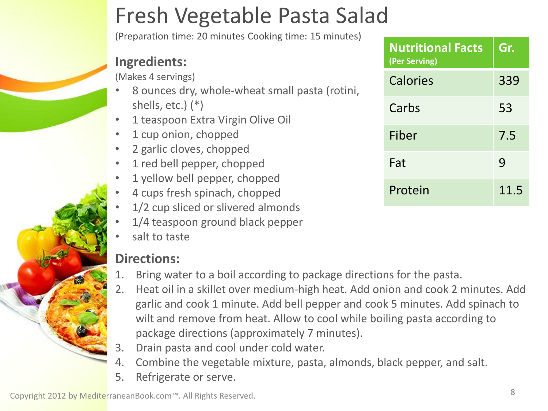### Fresh Vegetable Pasta Salad

(Preparation time: 20 minutes Cooking time: 15 minutes)

#### **Ingredients:**

(Makes 4 servings)

- 8 ounces dry, whole-wheat small pasta (rotini, shells, etc.)  $(*)$
- 1 teaspoon Extra Virgin Olive Oil
- 1 cup onion, chopped
- 2 garlic cloves, chopped
- 1 red bell pepper, chopped
- 1 yellow bell pepper, chopped
- 4 cups fresh spinach, chopped
- 1/2 cup sliced or slivered almonds
- 1/4 teaspoon ground black pepper
- salt to taste

#### **Directions:**

- 1. Bring water to a boil according to package directions for the pasta.
- 2. Heat oil in a skillet over medium-high heat. Add onion and cook 2 minutes. Add garlic and cook 1 minute. Add bell pepper and cook 5 minutes. Add spinach to wilt and remove from heat. Allow to cool while boiling pasta according to package directions (approximately 7 minutes).
- 3. Drain pasta and cool under cold water.
- 4. Combine the vegetable mixture, pasta, almonds, black pepper, and salt.
- 5. Refrigerate or serve.

| <b>Nutritional Facts</b><br>(Per Serving) | Gr.  |
|-------------------------------------------|------|
| <b>Calories</b>                           | 339  |
| Carbs                                     | 53   |
| Fiber                                     | 7.5  |
| Fat                                       | 9    |
| Protein                                   | 11.5 |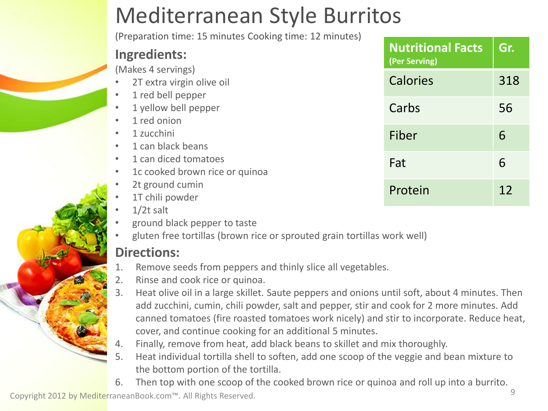### Mediterranean Style Burritos

(Preparation time: 15 minutes Cooking time: 12 minutes)

#### **Ingredients:**

(Makes 4 servings)

- 2T extra virgin olive oil
- 1 red bell pepper
- 1 yellow bell pepper
- 1 red onion
- 1 zucchini
- 1 can black beans
- 1 can diced tomatoes
- 1c cooked brown rice or quinoa
- 2t ground cumin
- 1T chili powder
- $1/2t$  salt
- ground black pepper to taste
- gluten free tortillas (brown rice or sprouted grain tortillas work well)

#### **Directions:**

- 1. Remove seeds from peppers and thinly slice all vegetables.
- 2. Rinse and cook rice or quinoa.
- 3. Heat olive oil in a large skillet. Saute peppers and onions until soft, about 4 minutes. Then add zucchini, cumin, chili powder, salt and pepper, stir and cook for 2 more minutes. Add canned tomatoes (fire roasted tomatoes work nicely) and stir to incorporate. Reduce heat, cover, and continue cooking for an additional 5 minutes.
- 4. Finally, remove from heat, add black beans to skillet and mix thoroughly.
- 5. Heat individual tortilla shell to soften, add one scoop of the veggie and bean mixture to the bottom portion of the tortilla.
- 6. Then top with one scoop of the cooked brown rice or quinoa and roll up into a burrito.

| <b>Nutritional Facts</b><br>(Per Serving) | Gr. |
|-------------------------------------------|-----|
| Calories                                  | 318 |
| Carbs                                     | 56  |
| Fiber                                     | 6   |
| Fat                                       | 6   |
| Protein                                   | 12  |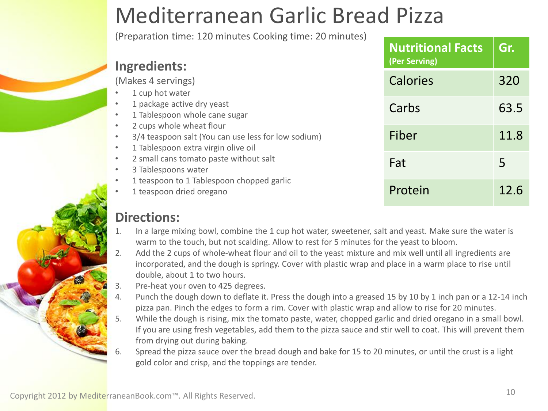### Mediterranean Garlic Bread Pizza

(Preparation time: 120 minutes Cooking time: 20 minutes)

| Ingredients:                                                                                                                                                  | <b>Nutritional Facts</b><br>(Per Serving) | Gr.  |
|---------------------------------------------------------------------------------------------------------------------------------------------------------------|-------------------------------------------|------|
| (Makes 4 servings)<br>1 cup hot water                                                                                                                         | <b>Calories</b>                           | 320  |
| 1 package active dry yeast<br>1 Tablespoon whole cane sugar<br>$\bullet$                                                                                      | Carbs                                     | 63.5 |
| 2 cups whole wheat flour<br>$\bullet$<br>3/4 teaspoon salt (You can use less for low sodium)<br>$\bullet$<br>1 Tablespoon extra virgin olive oil<br>$\bullet$ | Fiber                                     | 11.8 |
| 2 small cans tomato paste without salt<br>$\bullet$<br>3 Tablespoons water<br>$\bullet$                                                                       | Fat                                       | 5    |
| 1 teaspoon to 1 Tablespoon chopped garlic<br>1 teaspoon dried oregano                                                                                         | Protein                                   | 12.6 |

- 1. In a large mixing bowl, combine the 1 cup hot water, sweetener, salt and yeast. Make sure the water is warm to the touch, but not scalding. Allow to rest for 5 minutes for the yeast to bloom.
- 2. Add the 2 cups of whole-wheat flour and oil to the yeast mixture and mix well until all ingredients are incorporated, and the dough is springy. Cover with plastic wrap and place in a warm place to rise until double, about 1 to two hours.
- 3. Pre-heat your oven to 425 degrees.
- 4. Punch the dough down to deflate it. Press the dough into a greased 15 by 10 by 1 inch pan or a 12-14 inch pizza pan. Pinch the edges to form a rim. Cover with plastic wrap and allow to rise for 20 minutes.
- 5. While the dough is rising, mix the tomato paste, water, chopped garlic and dried oregano in a small bowl. If you are using fresh vegetables, add them to the pizza sauce and stir well to coat. This will prevent them from drying out during baking.
- Spread the pizza sauce over the bread dough and bake for 15 to 20 minutes, or until the crust is a light gold color and crisp, and the toppings are tender.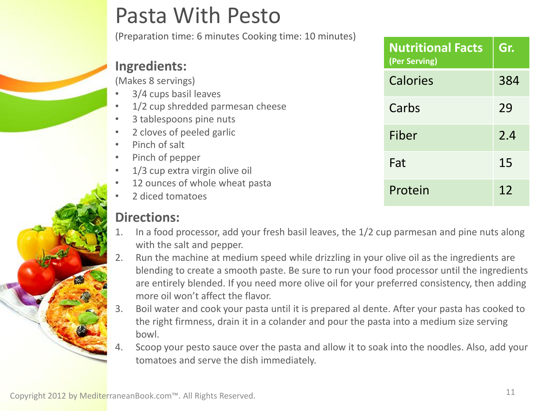### Pasta With Pesto

(Preparation time: 6 minutes Cooking time: 10 minutes)

| <b>Ingredients:</b>                                         | <b>Nutritional Facts</b><br>(Per Serving) | Gr. |
|-------------------------------------------------------------|-------------------------------------------|-----|
| (Makes 8 servings)<br>3/4 cups basil leaves                 | Calories                                  | 384 |
| 1/2 cup shredded parmesan cheese<br>3 tablespoons pine nuts | Carbs                                     | 29  |
| 2 cloves of peeled garlic<br>Pinch of salt                  | Fiber                                     | 2.4 |
| Pinch of pepper<br>1/3 cup extra virgin olive oil           | Fat                                       | 15  |
| 12 ounces of whole wheat pasta<br>2 diced tomatoes          | Protein                                   | 12  |

- 1. In a food processor, add your fresh basil leaves, the 1/2 cup parmesan and pine nuts along with the salt and pepper.
- 2. Run the machine at medium speed while drizzling in your olive oil as the ingredients are blending to create a smooth paste. Be sure to run your food processor until the ingredients are entirely blended. If you need more olive oil for your preferred consistency, then adding more oil won't affect the flavor.
- 3. Boil water and cook your pasta until it is prepared al dente. After your pasta has cooked to the right firmness, drain it in a colander and pour the pasta into a medium size serving bowl.
- Scoop your pesto sauce over the pasta and allow it to soak into the noodles. Also, add your tomatoes and serve the dish immediately.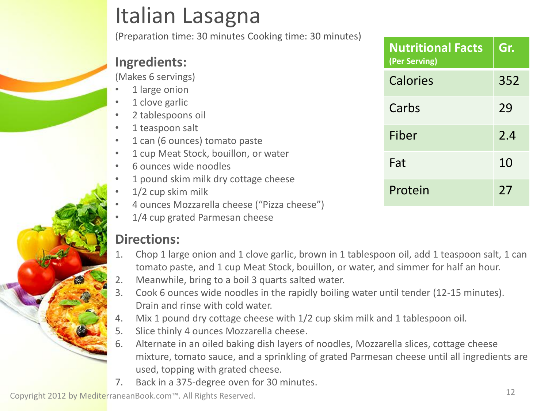### Italian Lasagna

(Preparation time: 30 minutes Cooking time: 30 minutes)

#### **Ingredients:**

(Makes 6 servings)

- 1 large onion
- 1 clove garlic
- 2 tablespoons oil
- 1 teaspoon salt
- 1 can (6 ounces) tomato paste
- 1 cup Meat Stock, bouillon, or water
- 6 ounces wide noodles
- 1 pound skim milk dry cottage cheese
- 1/2 cup skim milk
- 4 ounces Mozzarella cheese ("Pizza cheese")
- 1/4 cup grated Parmesan cheese

#### **Directions:**

- 1. Chop 1 large onion and 1 clove garlic, brown in 1 tablespoon oil, add 1 teaspoon salt, 1 can tomato paste, and 1 cup Meat Stock, bouillon, or water, and simmer for half an hour.
- 2. Meanwhile, bring to a boil 3 quarts salted water.
- 3. Cook 6 ounces wide noodles in the rapidly boiling water until tender (12-15 minutes). Drain and rinse with cold water.
- 4. Mix 1 pound dry cottage cheese with 1/2 cup skim milk and 1 tablespoon oil.
- 5. Slice thinly 4 ounces Mozzarella cheese.
- 6. Alternate in an oiled baking dish layers of noodles, Mozzarella slices, cottage cheese mixture, tomato sauce, and a sprinkling of grated Parmesan cheese until all ingredients are used, topping with grated cheese.
- 7. Back in a 375-degree oven for 30 minutes.

| <b>Nutritional Facts</b><br>(Per Serving) | Gr. |
|-------------------------------------------|-----|
| Calories                                  | 352 |
| Carbs                                     | 29  |
| Fiber                                     | 2.4 |
| Fat                                       | 10  |
| Protein                                   | 27  |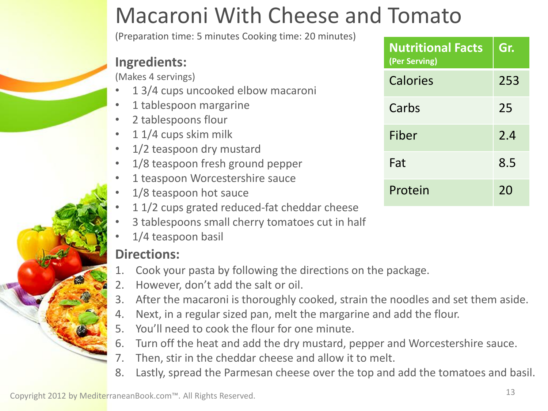### Macaroni With Cheese and Tomato

(Preparation time: 5 minutes Cooking time: 20 minutes)

#### **Ingredients:**

(Makes 4 servings)

- 1 3/4 cups uncooked elbow macaroni
- 1 tablespoon margarine
- 2 tablespoons flour
- 1 1/4 cups skim milk
- 1/2 teaspoon dry mustard
- 1/8 teaspoon fresh ground pepper
- 1 teaspoon Worcestershire sauce
- 1/8 teaspoon hot sauce
- 1 1/2 cups grated reduced-fat cheddar cheese
- 3 tablespoons small cherry tomatoes cut in half
- 1/4 teaspoon basil

- 1. Cook your pasta by following the directions on the package.
- 2. However, don't add the salt or oil.
- 3. After the macaroni is thoroughly cooked, strain the noodles and set them aside.
- 4. Next, in a regular sized pan, melt the margarine and add the flour.
- 5. You'll need to cook the flour for one minute.
- 6. Turn off the heat and add the dry mustard, pepper and Worcestershire sauce.
- 7. Then, stir in the cheddar cheese and allow it to melt.
- 8. Lastly, spread the Parmesan cheese over the top and add the tomatoes and basil.

| <b>Nutritional Facts</b><br>(Per Serving) | Gr. |
|-------------------------------------------|-----|
| Calories                                  | 253 |
| Carbs                                     | 25  |
| Fiber                                     | 2.4 |
| Fat                                       | 8.5 |
| Protein                                   | 20  |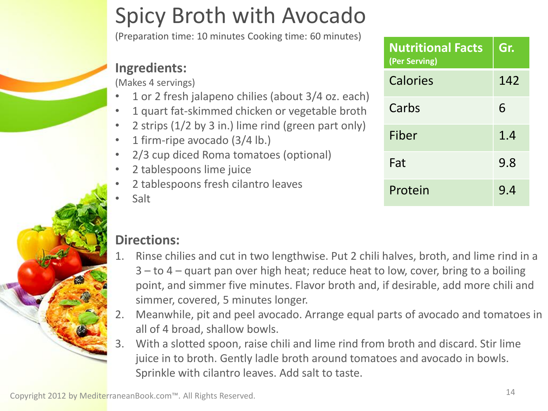### Spicy Broth with Avocado

(Preparation time: 10 minutes Cooking time: 60 minutes)

#### **Ingredients:**

(Makes 4 servings)

- 1 or 2 fresh jalapeno chilies (about 3/4 oz. each)
- 1 quart fat-skimmed chicken or vegetable broth
- 2 strips (1/2 by 3 in.) lime rind (green part only)
- 1 firm-ripe avocado (3/4 lb.)
- 2/3 cup diced Roma tomatoes (optional)
- 2 tablespoons lime juice
- 2 tablespoons fresh cilantro leaves
- Salt

### **Nutritional Facts (Per Serving) Gr.** Calories 142 Carbs 6 Fiber 1.4 Fat 9.8 Protein 9.4

- 1. Rinse chilies and cut in two lengthwise. Put 2 chili halves, broth, and lime rind in a 3 – to 4 – quart pan over high heat; reduce heat to low, cover, bring to a boiling point, and simmer five minutes. Flavor broth and, if desirable, add more chili and simmer, covered, 5 minutes longer.
- 2. Meanwhile, pit and peel avocado. Arrange equal parts of avocado and tomatoes in all of 4 broad, shallow bowls.
- 3. With a slotted spoon, raise chili and lime rind from broth and discard. Stir lime juice in to broth. Gently ladle broth around tomatoes and avocado in bowls. Sprinkle with cilantro leaves. Add salt to taste.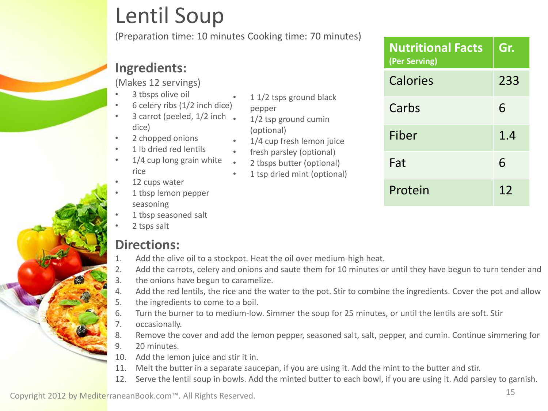### Lentil Soup

(Preparation time: 10 minutes Cooking time: 70 minutes)

#### **Ingredients:**

(Makes 12 servings)

- 3 tbsps olive oil
- 6 celery ribs (1/2 inch dice)
- 3 carrot (peeled, 1/2 inch. dice)
- 2 chopped onions
- 1 lb dried red lentils
- 1/4 cup long grain white rice
- 12 cups water
- 1 tbsp lemon pepper seasoning
- 1 tbsp seasoned salt
- 2 tsps salt

#### **Directions:**

- 1. Add the olive oil to a stockpot. Heat the oil over medium-high heat.
- 2. Add the carrots, celery and onions and saute them for 10 minutes or until they have begun to turn tender and
- 3. the onions have begun to caramelize.
- 4. Add the red lentils, the rice and the water to the pot. Stir to combine the ingredients. Cover the pot and allow
- 5. the ingredients to come to a boil.
- 6. Turn the burner to to medium-low. Simmer the soup for 25 minutes, or until the lentils are soft. Stir
- 7. occasionally.
- 8. Remove the cover and add the lemon pepper, seasoned salt, salt, pepper, and cumin. Continue simmering for
- 9. 20 minutes.
- 10. Add the lemon juice and stir it in.
- 11. Melt the butter in a separate saucepan, if you are using it. Add the mint to the butter and stir.
- 12. Serve the lentil soup in bowls. Add the minted butter to each bowl, if you are using it. Add parsley to garnish.

- 1 1/2 tsps ground black
- pepper
- 1/2 tsp ground cumin (optional)
- 1/4 cup fresh lemon juice
- fresh parsley (optional)
- 2 tbsps butter (optional)
- 1 tsp dried mint (optional)

| <b>Nutritional Facts</b><br>(Per Serving) | Gr. |
|-------------------------------------------|-----|
| Calories                                  | 233 |
| Carbs                                     | 6   |
| Fiber                                     | 1.4 |
| Fat                                       | 6   |
| Protein                                   | 12  |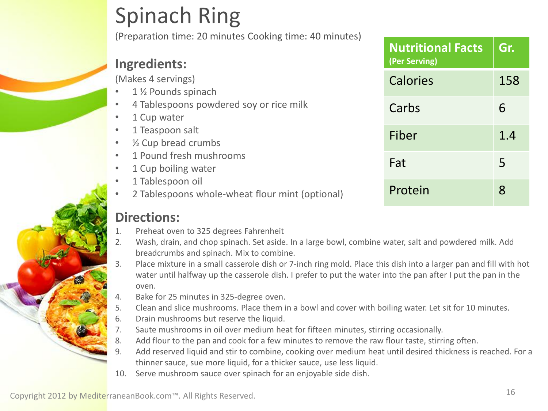### Spinach Ring

(Preparation time: 20 minutes Cooking time: 40 minutes)

#### **Ingredients:**

(Makes 4 servings)

- 1 ½ Pounds spinach
- 4 Tablespoons powdered soy or rice milk
- 1 Cup water
- 1 Teaspoon salt
- ½ Cup bread crumbs
- 1 Pound fresh mushrooms
- 1 Cup boiling water
- 1 Tablespoon oil
- 2 Tablespoons whole-wheat flour mint (optional)

- 1. Preheat oven to 325 degrees Fahrenheit
- 2. Wash, drain, and chop spinach. Set aside. In a large bowl, combine water, salt and powdered milk. Add breadcrumbs and spinach. Mix to combine.
- 3. Place mixture in a small casserole dish or 7-inch ring mold. Place this dish into a larger pan and fill with hot water until halfway up the casserole dish. I prefer to put the water into the pan after I put the pan in the oven.
- 4. Bake for 25 minutes in 325-degree oven.
- 5. Clean and slice mushrooms. Place them in a bowl and cover with boiling water. Let sit for 10 minutes.
- 6. Drain mushrooms but reserve the liquid.
- 7. Saute mushrooms in oil over medium heat for fifteen minutes, stirring occasionally.
- 8. Add flour to the pan and cook for a few minutes to remove the raw flour taste, stirring often.
- 9. Add reserved liquid and stir to combine, cooking over medium heat until desired thickness is reached. For a thinner sauce, sue more liquid, for a thicker sauce, use less liquid.
- 10. Serve mushroom sauce over spinach for an enjoyable side dish.

| <b>Nutritional Facts</b><br>(Per Serving) | Gr. |
|-------------------------------------------|-----|
| Calories                                  | 158 |
| Carbs                                     | 6   |
| Fiber                                     | 1.4 |
| Fat                                       | 5   |
| Protein                                   | ጸ   |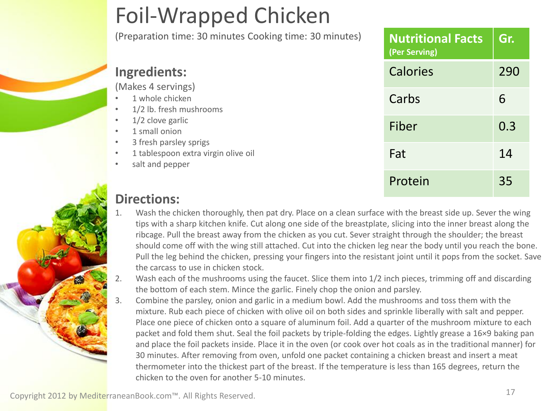## Foil-Wrapped Chicken

(Preparation time: 30 minutes Cooking time: 30 minutes)

|                                                                                                                         | (Per Serving) |     |
|-------------------------------------------------------------------------------------------------------------------------|---------------|-----|
| <b>Ingredients:</b>                                                                                                     | Calories      | 290 |
| (Makes 4 servings)<br>1 whole chicken<br>$\bullet$<br>1/2 lb. fresh mushrooms<br>$\bullet$                              | Carbs         | 6   |
| 1/2 clove garlic<br>$\bullet$<br>1 small onion<br>$\bullet$                                                             | Fiber         | 0.3 |
| 3 fresh parsley sprigs<br>$\bullet$<br>1 tablespoon extra virgin olive oil<br>$\bullet$<br>salt and pepper<br>$\bullet$ | Fat           | 14  |
|                                                                                                                         | Protein       | 35  |

**Nutritional Facts** 

**Gr.**

#### **Directions:**

- Wash the chicken thoroughly, then pat dry. Place on a clean surface with the breast side up. Sever the wing tips with a sharp kitchen knife. Cut along one side of the breastplate, slicing into the inner breast along the ribcage. Pull the breast away from the chicken as you cut. Sever straight through the shoulder; the breast should come off with the wing still attached. Cut into the chicken leg near the body until you reach the bone. Pull the leg behind the chicken, pressing your fingers into the resistant joint until it pops from the socket. Save the carcass to use in chicken stock.
- 2. Wash each of the mushrooms using the faucet. Slice them into 1/2 inch pieces, trimming off and discarding the bottom of each stem. Mince the garlic. Finely chop the onion and parsley.
- 3. Combine the parsley, onion and garlic in a medium bowl. Add the mushrooms and toss them with the mixture. Rub each piece of chicken with olive oil on both sides and sprinkle liberally with salt and pepper. Place one piece of chicken onto a square of aluminum foil. Add a quarter of the mushroom mixture to each packet and fold them shut. Seal the foil packets by triple-folding the edges. Lightly grease a 16×9 baking pan and place the foil packets inside. Place it in the oven (or cook over hot coals as in the traditional manner) for 30 minutes. After removing from oven, unfold one packet containing a chicken breast and insert a meat thermometer into the thickest part of the breast. If the temperature is less than 165 degrees, return the chicken to the oven for another 5-10 minutes.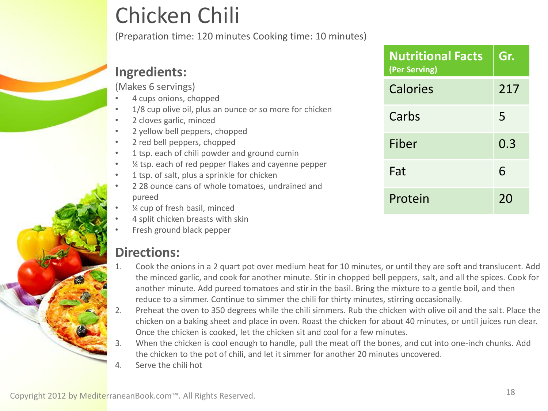### Chicken Chili

(Preparation time: 120 minutes Cooking time: 10 minutes)

#### **Ingredients:**

(Makes 6 servings)

- 4 cups onions, chopped
- 1/8 cup olive oil, plus an ounce or so more for chicken
- 2 cloves garlic, minced
- 2 yellow bell peppers, chopped
- 2 red bell peppers, chopped
- 1 tsp. each of chili powder and ground cumin
- ¼ tsp. each of red pepper flakes and cayenne pepper
- 1 tsp. of salt, plus a sprinkle for chicken
- 2 28 ounce cans of whole tomatoes, undrained and pureed
- ¼ cup of fresh basil, minced
- 4 split chicken breasts with skin
- Fresh ground black pepper

- 1. Cook the onions in a 2 quart pot over medium heat for 10 minutes, or until they are soft and translucent. Add the minced garlic, and cook for another minute. Stir in chopped bell peppers, salt, and all the spices. Cook for another minute. Add pureed tomatoes and stir in the basil. Bring the mixture to a gentle boil, and then reduce to a simmer. Continue to simmer the chili for thirty minutes, stirring occasionally.
- 2. Preheat the oven to 350 degrees while the chili simmers. Rub the chicken with olive oil and the salt. Place the chicken on a baking sheet and place in oven. Roast the chicken for about 40 minutes, or until juices run clear. Once the chicken is cooked, let the chicken sit and cool for a few minutes.
- 3. When the chicken is cool enough to handle, pull the meat off the bones, and cut into one-inch chunks. Add the chicken to the pot of chili, and let it simmer for another 20 minutes uncovered.
- Serve the chili hot

| Copyright 2012 by MediterraneanBook.com™. All Rights Reserved. |  |
|----------------------------------------------------------------|--|
|                                                                |  |

| <b>Nutritional Facts</b><br>(Per Serving) | Gr. |
|-------------------------------------------|-----|
| Calories                                  | 217 |
| Carbs                                     | 5   |
| Fiber                                     | 0.3 |
| Fat                                       | 6   |
| Protein                                   | 20  |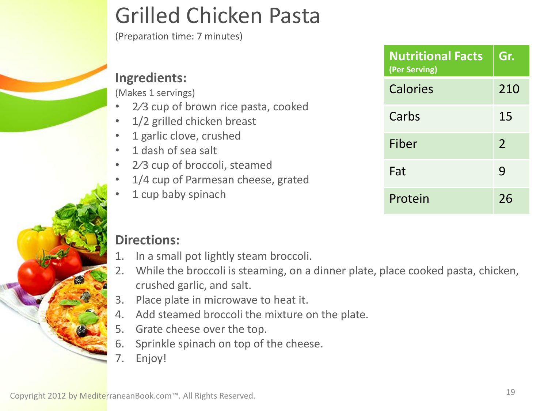#### 1 garlic clove, crushed • 1 dash of sea salt 2/3 cup of broccoli, steamed

**Ingredients:**

(Makes 1 servings)

1/4 cup of Parmesan cheese, grated

1/2 grilled chicken breast

2/3 cup of brown rice pasta, cooked

1 cup baby spinach

### **Directions:**

- 1. In a small pot lightly steam broccoli.
- 2. While the broccoli is steaming, on a dinner plate, place cooked pasta, chicken, crushed garlic, and salt.
- 3. Place plate in microwave to heat it.
- 4. Add steamed broccoli the mixture on the plate.
- 5. Grate cheese over the top.
- 6. Sprinkle spinach on top of the cheese.
- Enjoy!

### Grilled Chicken Pasta

(Preparation time: 7 minutes)

| <b>Nutritional Facts</b><br>(Per Serving) | Gr.           |
|-------------------------------------------|---------------|
| Calories                                  | 210           |
| Carbs                                     | 15            |
| Fiber                                     | $\mathcal{P}$ |
| Fat                                       | 9             |
| Protein                                   | 26            |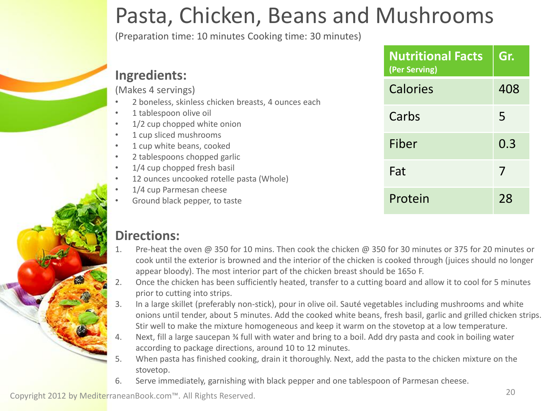### Pasta, Chicken, Beans and Mushrooms

(Preparation time: 10 minutes Cooking time: 30 minutes)

| Ingredients:                                                                                                  | <b>Nutritional Facts</b><br>(Per Serving) | Gr. |
|---------------------------------------------------------------------------------------------------------------|-------------------------------------------|-----|
| (Makes 4 servings)<br>2 boneless, skinless chicken breasts, 4 ounces each                                     | <b>Calories</b>                           | 408 |
| 1 tablespoon olive oil<br>$\bullet$<br>1/2 cup chopped white onion<br>$\bullet$                               | Carbs                                     | 5   |
| 1 cup sliced mushrooms<br>$\bullet$<br>1 cup white beans, cooked<br>$\bullet$<br>2 tablespoons chopped garlic | Fiber                                     | 0.3 |
| 1/4 cup chopped fresh basil<br>$\bullet$<br>12 ounces uncooked rotelle pasta (Whole)<br>$\bullet$             | Fat                                       |     |
| 1/4 cup Parmesan cheese<br>Ground black pepper, to taste                                                      | Protein                                   | 28  |

#### **Directions:**

- Pre-heat the oven @ 350 for 10 mins. Then cook the chicken @ 350 for 30 minutes or 375 for 20 minutes or cook until the exterior is browned and the interior of the chicken is cooked through (juices should no longer appear bloody). The most interior part of the chicken breast should be 165o F.
- 2. Once the chicken has been sufficiently heated, transfer to a cutting board and allow it to cool for 5 minutes prior to cutting into strips.
- 3. In a large skillet (preferably non-stick), pour in olive oil. Sauté vegetables including mushrooms and white onions until tender, about 5 minutes. Add the cooked white beans, fresh basil, garlic and grilled chicken strips. Stir well to make the mixture homogeneous and keep it warm on the stovetop at a low temperature.
- Next, fill a large saucepan % full with water and bring to a boil. Add dry pasta and cook in boiling water according to package directions, around 10 to 12 minutes.
- 5. When pasta has finished cooking, drain it thoroughly. Next, add the pasta to the chicken mixture on the stovetop.
- 6. Serve immediately, garnishing with black pepper and one tablespoon of Parmesan cheese.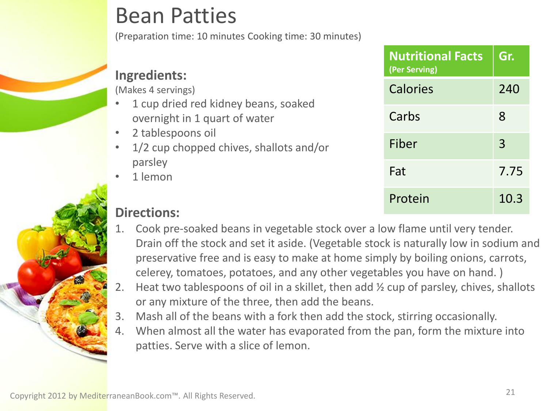### Bean Patties

(Preparation time: 10 minutes Cooking time: 30 minutes)

#### **Ingredients:**

(Makes 4 servings)

- 1 cup dried red kidney beans, soaked overnight in 1 quart of water
- 2 tablespoons oil
- 1/2 cup chopped chives, shallots and/or parsley
- 1 lemon

| <b>Nutritional Facts</b><br>(Per Serving) | Gr.  |
|-------------------------------------------|------|
| Calories                                  | 240  |
| Carbs                                     | 8    |
| Fiber                                     | 3    |
| Fat                                       | 7.75 |
| Protein                                   | 10.3 |

- 1. Cook pre-soaked beans in vegetable stock over a low flame until very tender. Drain off the stock and set it aside. (Vegetable stock is naturally low in sodium and preservative free and is easy to make at home simply by boiling onions, carrots, celerey, tomatoes, potatoes, and any other vegetables you have on hand. )
- 2. Heat two tablespoons of oil in a skillet, then add ½ cup of parsley, chives, shallots or any mixture of the three, then add the beans.
- 3. Mash all of the beans with a fork then add the stock, stirring occasionally.
- 4. When almost all the water has evaporated from the pan, form the mixture into patties. Serve with a slice of lemon.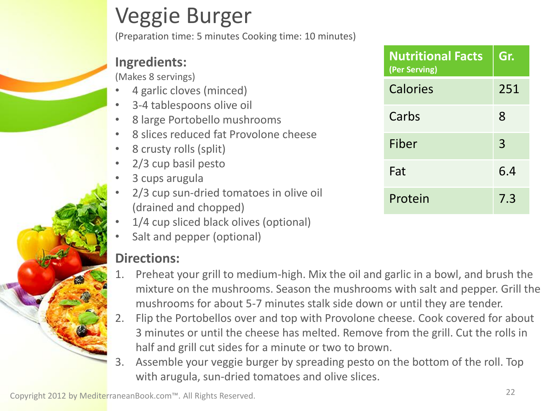### Veggie Burger

(Preparation time: 5 minutes Cooking time: 10 minutes)

#### **Ingredients:**

(Makes 8 servings)

- 4 garlic cloves (minced)
- 3-4 tablespoons olive oil
- 8 large Portobello mushrooms
- 8 slices reduced fat Provolone cheese
- 8 crusty rolls (split)
- 2/3 cup basil pesto
- 3 cups arugula
- 2/3 cup sun-dried tomatoes in olive oil (drained and chopped)
- 1/4 cup sliced black olives (optional)
- Salt and pepper (optional)

- 1. Preheat your grill to medium-high. Mix the oil and garlic in a bowl, and brush the mixture on the mushrooms. Season the mushrooms with salt and pepper. Grill the mushrooms for about 5-7 minutes stalk side down or until they are tender.
- 2. Flip the Portobellos over and top with Provolone cheese. Cook covered for about 3 minutes or until the cheese has melted. Remove from the grill. Cut the rolls in half and grill cut sides for a minute or two to brown.
- 3. Assemble your veggie burger by spreading pesto on the bottom of the roll. Top with arugula, sun-dried tomatoes and olive slices.

| <b>Nutritional Facts</b><br>(Per Serving) | Gr. |
|-------------------------------------------|-----|
| Calories                                  | 251 |
| Carbs                                     | 8   |
| Fiber                                     | 3   |
| Fat                                       | 6.4 |
| Protein                                   | 7.3 |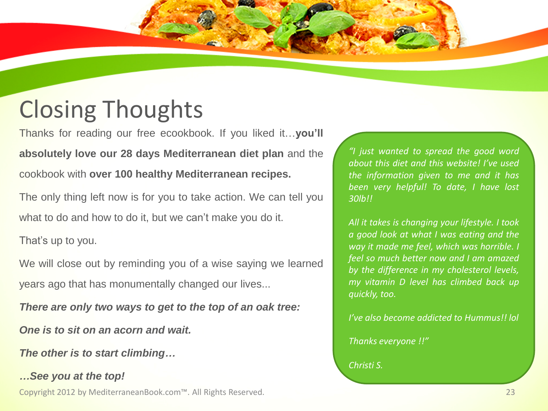### Closing Thoughts

Thanks for reading our free ecookbook. If you liked it…**you'll absolutely love our 28 days Mediterranean diet plan** and the cookbook with **over 100 healthy Mediterranean recipes.**

The only thing left now is for you to take action. We can tell you what to do and how to do it, but we can't make you do it.

That's up to you.

We will close out by reminding you of a wise saying we learned years ago that has monumentally changed our lives...

*There are only two ways to get to the top of an oak tree:*

*One is to sit on an acorn and wait.*

*The other is to start climbing…*

*…See you at the top!* Copyright 2012 by MediterraneanBook.com™. All Rights Reserved. 23

*"I just wanted to spread the good word about this diet and this website! I've used the information given to me and it has been very helpful! To date, I have lost 30lb!!*

*All it takes is changing your lifestyle. I took a good look at what I was eating and the way it made me feel, which was horrible. I feel so much better now and I am amazed by the difference in my cholesterol levels, my vitamin D level has climbed back up quickly, too.*

*I've also become addicted to Hummus!! lol*

*Thanks everyone !!"*

*Christi S.*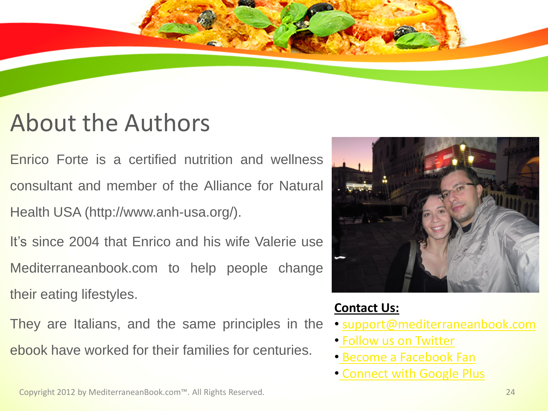### About the Authors

Enrico Forte is a certified nutrition and wellness consultant and member of the Alliance for Natural Health USA (http://www.anh-usa.org/).

It's since 2004 that Enrico and his wife Valerie use Mediterraneanbook.com to help people change their eating lifestyles.

They are Italians, and the same principles in the ebook have worked for their families for centuries.



#### **Contact Us:**

- [support@mediterraneanbook.com](mailto:support@mediterraneanbook.com)
- [Follow us on Twitter](https://twitter.com/meddietbook)
- [Become a Facebook](http://www.facebook.com/MediterraneanDietBook) [Fan](http://www.facebook.com/MediterraneanDietBook)
- [Connect with Google Plus](https://plus.google.com/106330415739460445793)